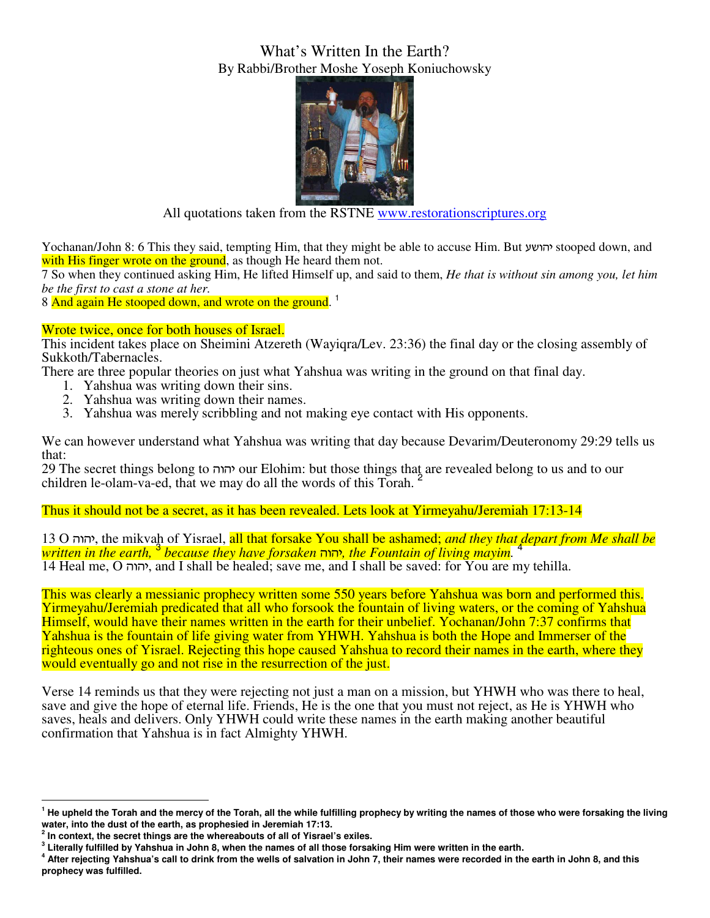## What's Written In the Earth? By Rabbi/Brother Moshe Yoseph Koniuchowsky



All quotations taken from the RSTNE www.restorationscriptures.org

Yochanan/John 8: 6 This they said, tempting Him, that they might be able to accuse Him. But gauvh stooped down, and with His finger wrote on the ground, as though He heard them not.

7 So when they continued asking Him, He lifted Himself up, and said to them, *He that is without sin among you, let him be the first to cast a stone at her.* 

8 And again He stooped down, and wrote on the ground.<sup>1</sup>

## Wrote twice, once for both houses of Israel.

This incident takes place on Sheimini Atzereth (Wayiqra/Lev. 23:36) the final day or the closing assembly of Sukkoth/Tabernacles.

There are three popular theories on just what Yahshua was writing in the ground on that final day.

- 1. Yahshua was writing down their sins.
- 2. Yahshua was writing down their names.
- 3. Yahshua was merely scribbling and not making eye contact with His opponents.

We can however understand what Yahshua was writing that day because Devarim/Deuteronomy 29:29 tells us that:

29 The secret things belong to vuvh our Elohim: but those things that are revealed belong to us and to our children le-olam-va-ed, that we may do all the words of this Torah. <sup>2</sup>

## Thus it should not be a secret, as it has been revealed. Lets look at Yirmeyahu/Jeremiah 17:13-14

13 O vuvh, the mikvah of Yisrael, all that forsake You shall be ashamed; *and they that depart from Me shall be written in the earth,* <sup>3</sup>  *because they have forsaken* vuvh*, the Fountain of living mayim.* <sup>4</sup> 14 Heal me, O יהוה, and I shall be healed; save me, and I shall be saved: for You are my tehilla.

This was clearly a messianic prophecy written some 550 years before Yahshua was born and performed this. Yirmeyahu/Jeremiah predicated that all who forsook the fountain of living waters, or the coming of Yahshua Himself, would have their names written in the earth for their unbelief. Yochanan/John 7:37 confirms that Yahshua is the fountain of life giving water from YHWH. Yahshua is both the Hope and Immerser of the righteous ones of Yisrael. Rejecting this hope caused Yahshua to record their names in the earth, where they would eventually go and not rise in the resurrection of the just.

Verse 14 reminds us that they were rejecting not just a man on a mission, but YHWH who was there to heal, save and give the hope of eternal life. Friends, He is the one that you must not reject, as He is YHWH who saves, heals and delivers. Only YHWH could write these names in the earth making another beautiful confirmation that Yahshua is in fact Almighty YHWH.

 $\overline{a}$ 

<sup>&</sup>lt;sup>1</sup> He upheld the Torah and the mercy of the Torah, all the while fulfilling prophecy by writing the names of those who were forsaking the living **water, into the dust of the earth, as prophesied in Jeremiah 17:13.** 

**<sup>2</sup> In context, the secret things are the whereabouts of all of Yisrael's exiles.** 

**<sup>3</sup> Literally fulfilled by Yahshua in John 8, when the names of all those forsaking Him were written in the earth.** 

**<sup>4</sup> After rejecting Yahshua's call to drink from the wells of salvation in John 7, their names were recorded in the earth in John 8, and this prophecy was fulfilled.**